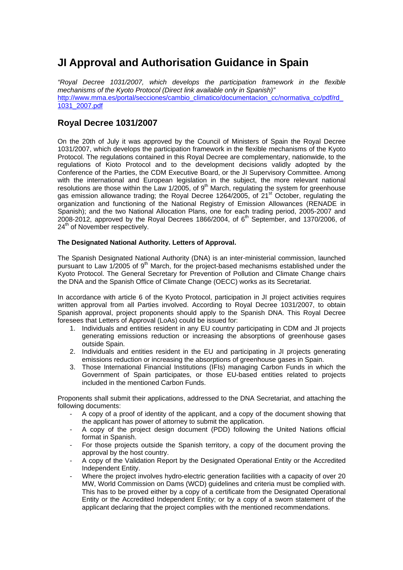# **JI Approval and Authorisation Guidance in Spain**

*"Royal Decree 1031/2007, which develops the participation framework in the flexible mechanisms of the Kyoto Protocol (Direct link available only in Spanish)"*  http://www.mma.es/portal/secciones/cambio\_climatico/documentacion\_cc/normativa\_cc/pdf/rd\_ 1031\_2007.pdf

## **Royal Decree 1031/2007**

On the 20th of July it was approved by the Council of Ministers of Spain the Royal Decree 1031/2007, which develops the participation framework in the flexible mechanisms of the Kyoto Protocol. The regulations contained in this Royal Decree are complementary, nationwide, to the regulations of Kioto Protocol and to the development decisions validly adopted by the Conference of the Parties, the CDM Executive Board, or the JI Supervisory Committee. Among with the international and European legislation in the subject, the more relevant national resolutions are those within the Law 1/2005, of  $9<sup>th</sup>$  March, regulating the system for greenhouse gas emission allowance trading; the Royal Decree 1264/2005, of 21<sup>st</sup> October, regulating the organization and functioning of the National Registry of Emission Allowances (RENADE in Spanish); and the two National Allocation Plans, one for each trading period, 2005-2007 and 2008-2012, approved by the Royal Decrees 1866/2004, of  $6<sup>th</sup>$  September, and 1370/2006, of 24<sup>th</sup> of November respectively.

### **The Designated National Authority. Letters of Approval.**

The Spanish Designated National Authority (DNA) is an inter-ministerial commission, launched pursuant to Law 1/2005 of 9th March, for the project-based mechanisms established under the Kyoto Protocol. The General Secretary for Prevention of Pollution and Climate Change chairs the DNA and the Spanish Office of Climate Change (OECC) works as its Secretariat.

In accordance with article 6 of the Kyoto Protocol, participation in JI project activities requires written approval from all Parties involved. According to Royal Decree 1031/2007, to obtain Spanish approval, project proponents should apply to the Spanish DNA. This Royal Decree foresees that Letters of Approval (LoAs) could be issued for:

- 1. Individuals and entities resident in any EU country participating in CDM and JI projects generating emissions reduction or increasing the absorptions of greenhouse gases outside Spain.
- 2. Individuals and entities resident in the EU and participating in JI projects generating emissions reduction or increasing the absorptions of greenhouse gases in Spain.
- 3. Those International Financial Institutions (IFIs) managing Carbon Funds in which the Government of Spain participates, or those EU-based entities related to projects included in the mentioned Carbon Funds.

Proponents shall submit their applications, addressed to the DNA Secretariat, and attaching the following documents:

- A copy of a proof of identity of the applicant, and a copy of the document showing that the applicant has power of attorney to submit the application.
- A copy of the project design document (PDD) following the United Nations official format in Spanish.
- For those projects outside the Spanish territory, a copy of the document proving the approval by the host country.
- A copy of the Validation Report by the Designated Operational Entity or the Accredited Independent Entity.
- Where the project involves hydro-electric generation facilities with a capacity of over 20 MW, World Commission on Dams (WCD) guidelines and criteria must be complied with. This has to be proved either by a copy of a certificate from the Designated Operational Entity or the Accredited Independent Entity; or by a copy of a sworn statement of the applicant declaring that the project complies with the mentioned recommendations.